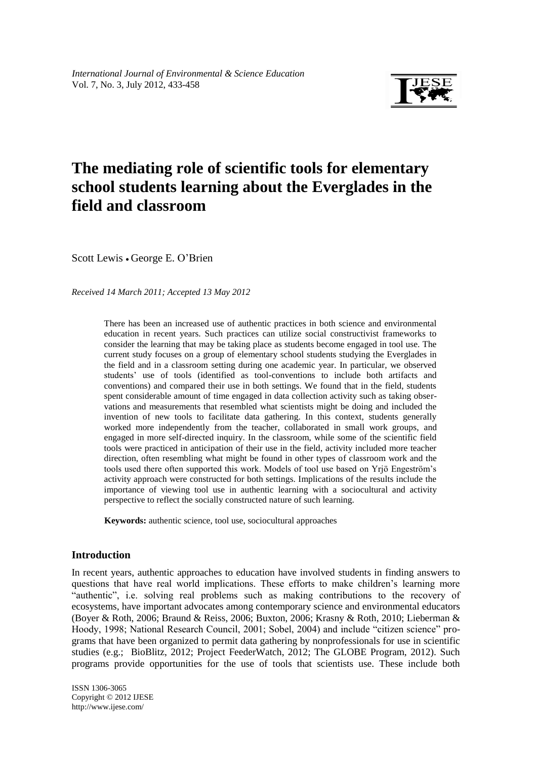

# **The mediating role of scientific tools for elementary school students learning about the Everglades in the field and classroom**

Scott Lewis • George E. O'Brien

*Received 14 March 2011; Accepted 13 May 2012*

There has been an increased use of authentic practices in both science and environmental education in recent years. Such practices can utilize social constructivist frameworks to consider the learning that may be taking place as students become engaged in tool use. The current study focuses on a group of elementary school students studying the Everglades in the field and in a classroom setting during one academic year. In particular, we observed students' use of tools (identified as tool-conventions to include both artifacts and conventions) and compared their use in both settings. We found that in the field, students spent considerable amount of time engaged in data collection activity such as taking observations and measurements that resembled what scientists might be doing and included the invention of new tools to facilitate data gathering. In this context, students generally worked more independently from the teacher, collaborated in small work groups, and engaged in more self-directed inquiry. In the classroom, while some of the scientific field tools were practiced in anticipation of their use in the field, activity included more teacher direction, often resembling what might be found in other types of classroom work and the tools used there often supported this work. Models of tool use based on Yrjö Engeström's activity approach were constructed for both settings. Implications of the results include the importance of viewing tool use in authentic learning with a sociocultural and activity perspective to reflect the socially constructed nature of such learning.

**Keywords:** authentic science, tool use, sociocultural approaches

# **Introduction**

In recent years, authentic approaches to education have involved students in finding answers to questions that have real world implications. These efforts to make children's learning more "authentic", i.e. solving real problems such as making contributions to the recovery of ecosystems, have important advocates among contemporary science and environmental educators (Boyer & Roth, 2006; Braund & Reiss, 2006; Buxton, 2006; Krasny & Roth, 2010; Lieberman & Hoody, 1998; National Research Council, 2001; Sobel, 2004) and include "citizen science" programs that have been organized to permit data gathering by nonprofessionals for use in scientific studies (e.g.; BioBlitz, 2012; Project FeederWatch, 2012; The GLOBE Program, 2012). Such programs provide opportunities for the use of tools that scientists use. These include both

ISSN 1306-3065 Copyright © 2012 IJESE <http://www.ijese.com/>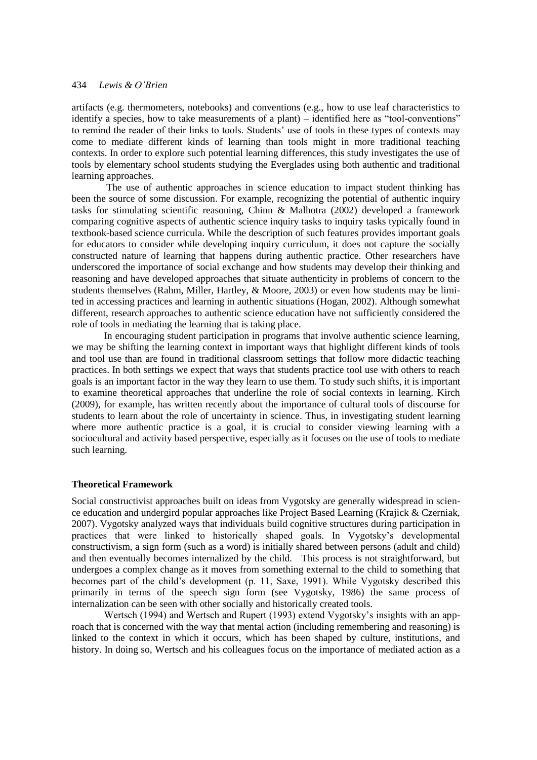artifacts (e.g. thermometers, notebooks) and conventions (e.g., how to use leaf characteristics to identify a species, how to take measurements of a plant) – identified here as "tool-conventions" to remind the reader of their links to tools. Students' use of tools in these types of contexts may come to mediate different kinds of learning than tools might in more traditional teaching contexts. In order to explore such potential learning differences, this study investigates the use of tools by elementary school students studying the Everglades using both authentic and traditional learning approaches.

 The use of authentic approaches in science education to impact student thinking has been the source of some discussion. For example, recognizing the potential of authentic inquiry tasks for stimulating scientific reasoning, Chinn & Malhotra (2002) developed a framework comparing cognitive aspects of authentic science inquiry tasks to inquiry tasks typically found in textbook-based science curricula. While the description of such features provides important goals for educators to consider while developing inquiry curriculum, it does not capture the socially constructed nature of learning that happens during authentic practice. Other researchers have underscored the importance of social exchange and how students may develop their thinking and reasoning and have developed approaches that situate authenticity in problems of concern to the students themselves (Rahm, Miller, Hartley, & Moore, 2003) or even how students may be limited in accessing practices and learning in authentic situations (Hogan, 2002). Although somewhat different, research approaches to authentic science education have not sufficiently considered the role of tools in mediating the learning that is taking place.

In encouraging student participation in programs that involve authentic science learning, we may be shifting the learning context in important ways that highlight different kinds of tools and tool use than are found in traditional classroom settings that follow more didactic teaching practices. In both settings we expect that ways that students practice tool use with others to reach goals is an important factor in the way they learn to use them. To study such shifts, it is important to examine theoretical approaches that underline the role of social contexts in learning. Kirch (2009), for example, has written recently about the importance of cultural tools of discourse for students to learn about the role of uncertainty in science. Thus, in investigating student learning where more authentic practice is a goal, it is crucial to consider viewing learning with a sociocultural and activity based perspective, especially as it focuses on the use of tools to mediate such learning.

# **Theoretical Framework**

Social constructivist approaches built on ideas from Vygotsky are generally widespread in science education and undergird popular approaches like Project Based Learning (Krajick & Czerniak, 2007). Vygotsky analyzed ways that individuals build cognitive structures during participation in practices that were linked to historically shaped goals. In Vygotsky's developmental constructivism, a sign form (such as a word) is initially shared between persons (adult and child) and then eventually becomes internalized by the child. This process is not straightforward, but undergoes a complex change as it moves from something external to the child to something that becomes part of the child's development (p. 11, Saxe, 1991). While Vygotsky described this primarily in terms of the speech sign form (see Vygotsky, 1986) the same process of internalization can be seen with other socially and historically created tools.

Wertsch (1994) and Wertsch and Rupert (1993) extend Vygotsky's insights with an approach that is concerned with the way that mental action (including remembering and reasoning) is linked to the context in which it occurs, which has been shaped by culture, institutions, and history. In doing so, Wertsch and his colleagues focus on the importance of mediated action as a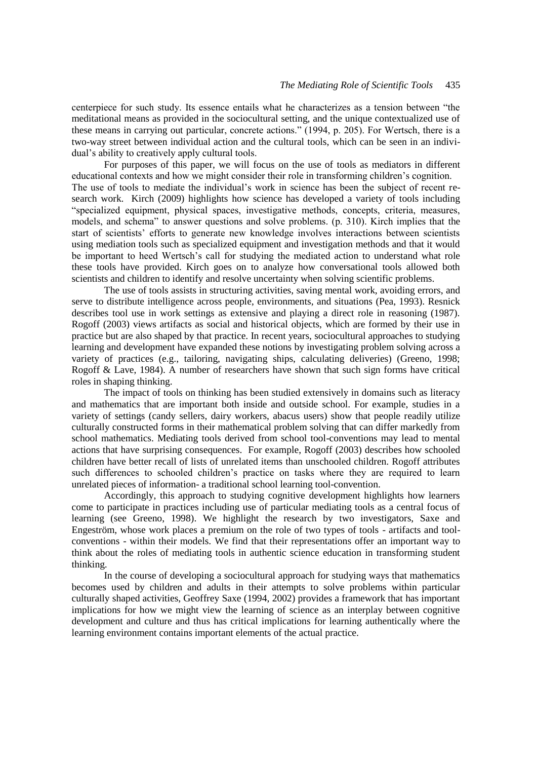centerpiece for such study. Its essence entails what he characterizes as a tension between "the meditational means as provided in the sociocultural setting, and the unique contextualized use of these means in carrying out particular, concrete actions." (1994, p. 205). For Wertsch, there is a two-way street between individual action and the cultural tools, which can be seen in an individual's ability to creatively apply cultural tools.

For purposes of this paper, we will focus on the use of tools as mediators in different educational contexts and how we might consider their role in transforming children's cognition. The use of tools to mediate the individual's work in science has been the subject of recent research work. Kirch (2009) highlights how science has developed a variety of tools including "specialized equipment, physical spaces, investigative methods, concepts, criteria, measures, models, and schema" to answer questions and solve problems. (p. 310). Kirch implies that the start of scientists' efforts to generate new knowledge involves interactions between scientists using mediation tools such as specialized equipment and investigation methods and that it would be important to heed Wertsch's call for studying the mediated action to understand what role these tools have provided. Kirch goes on to analyze how conversational tools allowed both scientists and children to identify and resolve uncertainty when solving scientific problems.

The use of tools assists in structuring activities, saving mental work, avoiding errors, and serve to distribute intelligence across people, environments, and situations (Pea, 1993). Resnick describes tool use in work settings as extensive and playing a direct role in reasoning (1987). Rogoff (2003) views artifacts as social and historical objects, which are formed by their use in practice but are also shaped by that practice. In recent years, sociocultural approaches to studying learning and development have expanded these notions by investigating problem solving across a variety of practices (e.g., tailoring, navigating ships, calculating deliveries) (Greeno, 1998; Rogoff & Lave, 1984). A number of researchers have shown that such sign forms have critical roles in shaping thinking.

The impact of tools on thinking has been studied extensively in domains such as literacy and mathematics that are important both inside and outside school. For example, studies in a variety of settings (candy sellers, dairy workers, abacus users) show that people readily utilize culturally constructed forms in their mathematical problem solving that can differ markedly from school mathematics. Mediating tools derived from school tool-conventions may lead to mental actions that have surprising consequences. For example, Rogoff (2003) describes how schooled children have better recall of lists of unrelated items than unschooled children. Rogoff attributes such differences to schooled children's practice on tasks where they are required to learn unrelated pieces of information- a traditional school learning tool-convention.

Accordingly, this approach to studying cognitive development highlights how learners come to participate in practices including use of particular mediating tools as a central focus of learning (see Greeno, 1998). We highlight the research by two investigators, Saxe and Engeström, whose work places a premium on the role of two types of tools - artifacts and toolconventions - within their models. We find that their representations offer an important way to think about the roles of mediating tools in authentic science education in transforming student thinking.

In the course of developing a sociocultural approach for studying ways that mathematics becomes used by children and adults in their attempts to solve problems within particular culturally shaped activities, Geoffrey Saxe (1994, 2002) provides a framework that has important implications for how we might view the learning of science as an interplay between cognitive development and culture and thus has critical implications for learning authentically where the learning environment contains important elements of the actual practice.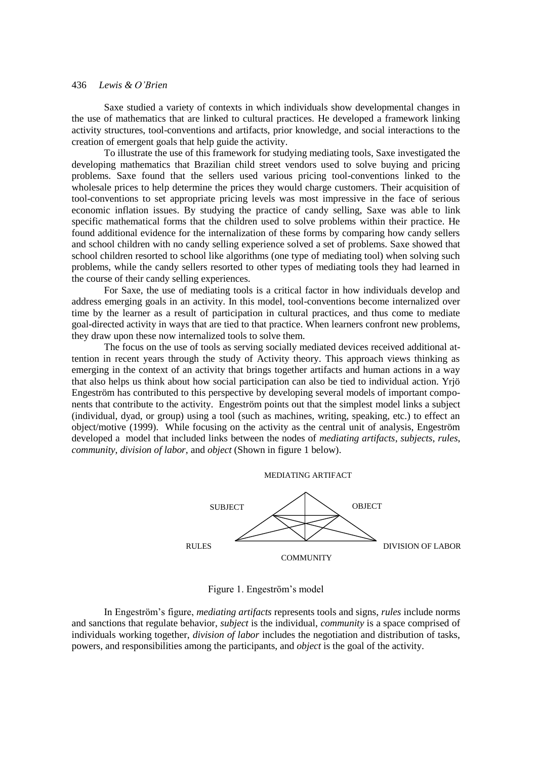Saxe studied a variety of contexts in which individuals show developmental changes in the use of mathematics that are linked to cultural practices. He developed a framework linking activity structures, tool-conventions and artifacts, prior knowledge, and social interactions to the creation of emergent goals that help guide the activity.

To illustrate the use of this framework for studying mediating tools, Saxe investigated the developing mathematics that Brazilian child street vendors used to solve buying and pricing problems. Saxe found that the sellers used various pricing tool-conventions linked to the wholesale prices to help determine the prices they would charge customers. Their acquisition of tool-conventions to set appropriate pricing levels was most impressive in the face of serious economic inflation issues. By studying the practice of candy selling, Saxe was able to link specific mathematical forms that the children used to solve problems within their practice. He found additional evidence for the internalization of these forms by comparing how candy sellers and school children with no candy selling experience solved a set of problems. Saxe showed that school children resorted to school like algorithms (one type of mediating tool) when solving such problems, while the candy sellers resorted to other types of mediating tools they had learned in the course of their candy selling experiences.

For Saxe, the use of mediating tools is a critical factor in how individuals develop and address emerging goals in an activity. In this model, tool-conventions become internalized over time by the learner as a result of participation in cultural practices, and thus come to mediate goal-directed activity in ways that are tied to that practice. When learners confront new problems, they draw upon these now internalized tools to solve them.

The focus on the use of tools as serving socially mediated devices received additional attention in recent years through the study of Activity theory. This approach views thinking as emerging in the context of an activity that brings together artifacts and human actions in a way that also helps us think about how social participation can also be tied to individual action. Yrjö Engeström has contributed to this perspective by developing several models of important components that contribute to the activity. Engeström points out that the simplest model links a subject (individual, dyad, or group) using a tool (such as machines, writing, speaking, etc.) to effect an object/motive (1999). While focusing on the activity as the central unit of analysis, Engeström developed a model that included links between the nodes of *mediating artifacts*, *subjects*, *rules*, *community*, *division of labor*, and *object* (Shown in figure 1 below).



Figure 1. Engeström's model

In Engeström's figure, *mediating artifacts* represents tools and signs, *rules* include norms and sanctions that regulate behavior, *subject* is the individual, *community* is a space comprised of individuals working together, *division of labor* includes the negotiation and distribution of tasks, powers, and responsibilities among the participants, and *object* is the goal of the activity.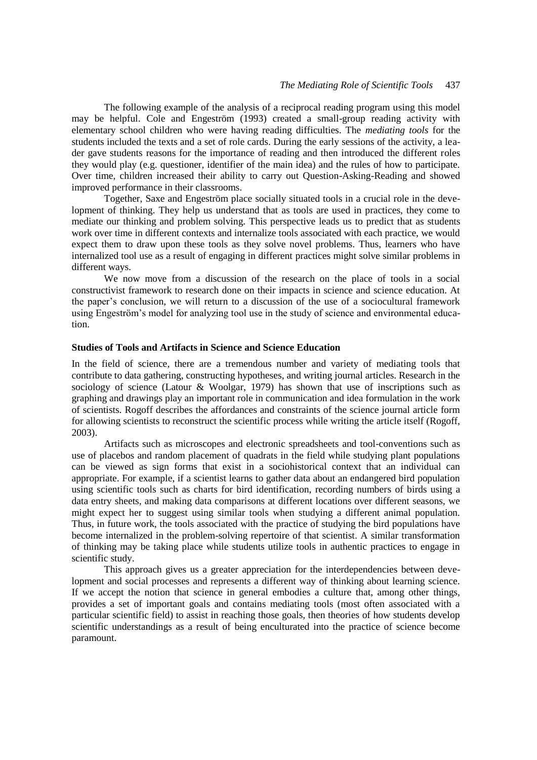The following example of the analysis of a reciprocal reading program using this model may be helpful. Cole and Engeström (1993) created a small-group reading activity with elementary school children who were having reading difficulties. The *mediating tools* for the students included the texts and a set of role cards. During the early sessions of the activity, a leader gave students reasons for the importance of reading and then introduced the different roles they would play (e.g. questioner, identifier of the main idea) and the rules of how to participate. Over time, children increased their ability to carry out Question-Asking-Reading and showed improved performance in their classrooms.

Together, Saxe and Engeström place socially situated tools in a crucial role in the development of thinking. They help us understand that as tools are used in practices, they come to mediate our thinking and problem solving. This perspective leads us to predict that as students work over time in different contexts and internalize tools associated with each practice, we would expect them to draw upon these tools as they solve novel problems. Thus, learners who have internalized tool use as a result of engaging in different practices might solve similar problems in different ways.

We now move from a discussion of the research on the place of tools in a social constructivist framework to research done on their impacts in science and science education. At the paper's conclusion, we will return to a discussion of the use of a sociocultural framework using Engeström's model for analyzing tool use in the study of science and environmental education.

#### **Studies of Tools and Artifacts in Science and Science Education**

In the field of science, there are a tremendous number and variety of mediating tools that contribute to data gathering, constructing hypotheses, and writing journal articles. Research in the sociology of science (Latour & Woolgar, 1979) has shown that use of inscriptions such as graphing and drawings play an important role in communication and idea formulation in the work of scientists. Rogoff describes the affordances and constraints of the science journal article form for allowing scientists to reconstruct the scientific process while writing the article itself (Rogoff, 2003).

Artifacts such as microscopes and electronic spreadsheets and tool-conventions such as use of placebos and random placement of quadrats in the field while studying plant populations can be viewed as sign forms that exist in a sociohistorical context that an individual can appropriate. For example, if a scientist learns to gather data about an endangered bird population using scientific tools such as charts for bird identification, recording numbers of birds using a data entry sheets, and making data comparisons at different locations over different seasons, we might expect her to suggest using similar tools when studying a different animal population. Thus, in future work, the tools associated with the practice of studying the bird populations have become internalized in the problem-solving repertoire of that scientist. A similar transformation of thinking may be taking place while students utilize tools in authentic practices to engage in scientific study.

This approach gives us a greater appreciation for the interdependencies between development and social processes and represents a different way of thinking about learning science. If we accept the notion that science in general embodies a culture that, among other things, provides a set of important goals and contains mediating tools (most often associated with a particular scientific field) to assist in reaching those goals, then theories of how students develop scientific understandings as a result of being enculturated into the practice of science become paramount.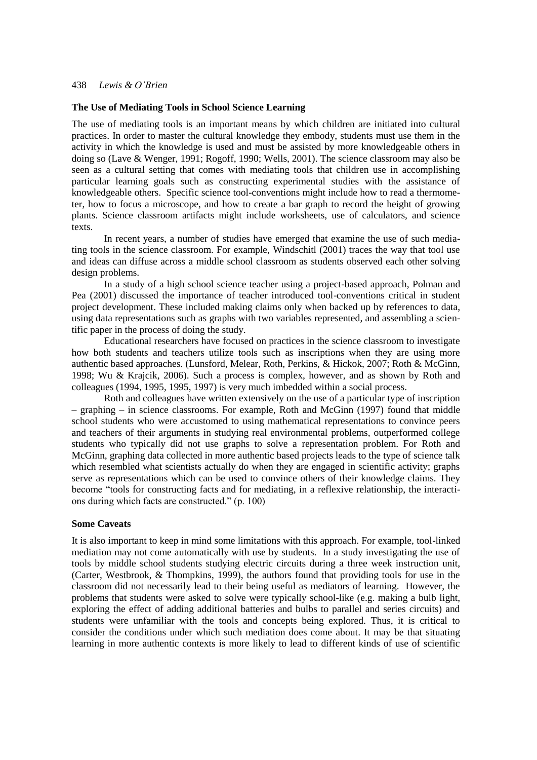#### **The Use of Mediating Tools in School Science Learning**

The use of mediating tools is an important means by which children are initiated into cultural practices. In order to master the cultural knowledge they embody, students must use them in the activity in which the knowledge is used and must be assisted by more knowledgeable others in doing so (Lave & Wenger, 1991; Rogoff, 1990; Wells, 2001). The science classroom may also be seen as a cultural setting that comes with mediating tools that children use in accomplishing particular learning goals such as constructing experimental studies with the assistance of knowledgeable others. Specific science tool-conventions might include how to read a thermometer, how to focus a microscope, and how to create a bar graph to record the height of growing plants. Science classroom artifacts might include worksheets, use of calculators, and science texts.

In recent years, a number of studies have emerged that examine the use of such mediating tools in the science classroom. For example, Windschitl (2001) traces the way that tool use and ideas can diffuse across a middle school classroom as students observed each other solving design problems.

In a study of a high school science teacher using a project-based approach, Polman and Pea (2001) discussed the importance of teacher introduced tool-conventions critical in student project development. These included making claims only when backed up by references to data, using data representations such as graphs with two variables represented, and assembling a scientific paper in the process of doing the study.

Educational researchers have focused on practices in the science classroom to investigate how both students and teachers utilize tools such as inscriptions when they are using more authentic based approaches. (Lunsford, Melear, Roth, Perkins, & Hickok, 2007; Roth & McGinn, 1998; Wu & Krajcik, 2006). Such a process is complex, however, and as shown by Roth and colleagues (1994, 1995, 1995, 1997) is very much imbedded within a social process.

Roth and colleagues have written extensively on the use of a particular type of inscription – graphing – in science classrooms. For example, Roth and McGinn (1997) found that middle school students who were accustomed to using mathematical representations to convince peers and teachers of their arguments in studying real environmental problems, outperformed college students who typically did not use graphs to solve a representation problem. For Roth and McGinn, graphing data collected in more authentic based projects leads to the type of science talk which resembled what scientists actually do when they are engaged in scientific activity; graphs serve as representations which can be used to convince others of their knowledge claims. They become "tools for constructing facts and for mediating, in a reflexive relationship, the interactions during which facts are constructed." (p. 100)

#### **Some Caveats**

It is also important to keep in mind some limitations with this approach. For example, tool-linked mediation may not come automatically with use by students. In a study investigating the use of tools by middle school students studying electric circuits during a three week instruction unit, (Carter, Westbrook, & Thompkins, 1999), the authors found that providing tools for use in the classroom did not necessarily lead to their being useful as mediators of learning. However, the problems that students were asked to solve were typically school-like (e.g. making a bulb light, exploring the effect of adding additional batteries and bulbs to parallel and series circuits) and students were unfamiliar with the tools and concepts being explored. Thus, it is critical to consider the conditions under which such mediation does come about. It may be that situating learning in more authentic contexts is more likely to lead to different kinds of use of scientific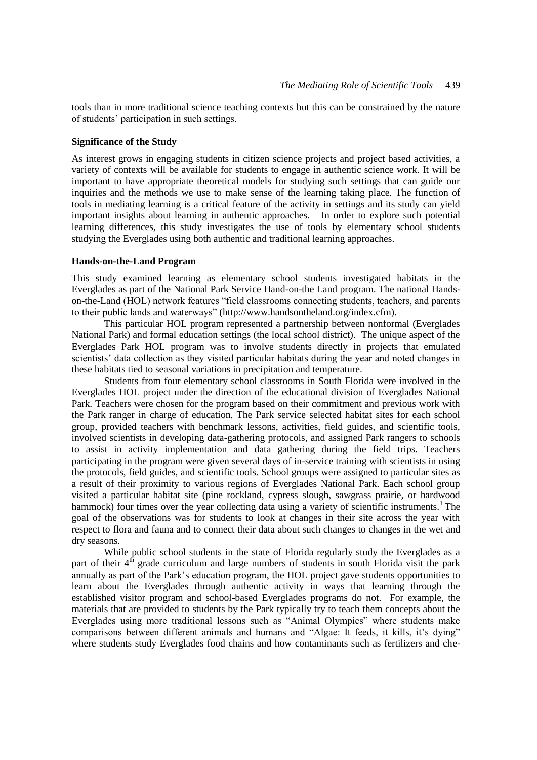tools than in more traditional science teaching contexts but this can be constrained by the nature of students' participation in such settings.

#### **Significance of the Study**

As interest grows in engaging students in citizen science projects and project based activities, a variety of contexts will be available for students to engage in authentic science work. It will be important to have appropriate theoretical models for studying such settings that can guide our inquiries and the methods we use to make sense of the learning taking place. The function of tools in mediating learning is a critical feature of the activity in settings and its study can yield important insights about learning in authentic approaches. In order to explore such potential learning differences, this study investigates the use of tools by elementary school students studying the Everglades using both authentic and traditional learning approaches.

# **Hands-on-the-Land Program**

This study examined learning as elementary school students investigated habitats in the Everglades as part of the National Park Service Hand-on-the Land program. The national Handson-the-Land (HOL) network features "field classrooms connecting students, teachers, and parents to their public lands and waterways" [\(http://www.handsontheland.org/index.cfm\)](http://www.handsontheland.org/index.cfm).

This particular HOL program represented a partnership between nonformal (Everglades National Park) and formal education settings (the local school district). The unique aspect of the Everglades Park HOL program was to involve students directly in projects that emulated scientists' data collection as they visited particular habitats during the year and noted changes in these habitats tied to seasonal variations in precipitation and temperature.

Students from four elementary school classrooms in South Florida were involved in the Everglades HOL project under the direction of the educational division of Everglades National Park. Teachers were chosen for the program based on their commitment and previous work with the Park ranger in charge of education. The Park service selected habitat sites for each school group, provided teachers with benchmark lessons, activities, field guides, and scientific tools, involved scientists in developing data-gathering protocols, and assigned Park rangers to schools to assist in activity implementation and data gathering during the field trips. Teachers participating in the program were given several days of in-service training with scientists in using the protocols, field guides, and scientific tools. School groups were assigned to particular sites as a result of their proximity to various regions of Everglades National Park. Each school group visited a particular habitat site (pine rockland, cypress slough, sawgrass prairie, or hardwood hammock) four times over the year collecting data using a variety of scientific instruments.<sup>1</sup> The goal of the observations was for students to look at changes in their site across the year with respect to flora and fauna and to connect their data about such changes to changes in the wet and dry seasons.

While public school students in the state of Florida regularly study the Everglades as a part of their  $4<sup>th</sup>$  grade curriculum and large numbers of students in south Florida visit the park annually as part of the Park's education program, the HOL project gave students opportunities to learn about the Everglades through authentic activity in ways that learning through the established visitor program and school-based Everglades programs do not. For example, the materials that are provided to students by the Park typically try to teach them concepts about the Everglades using more traditional lessons such as "Animal Olympics" where students make comparisons between different animals and humans and "Algae: It feeds, it kills, it's dying" where students study Everglades food chains and how contaminants such as fertilizers and che-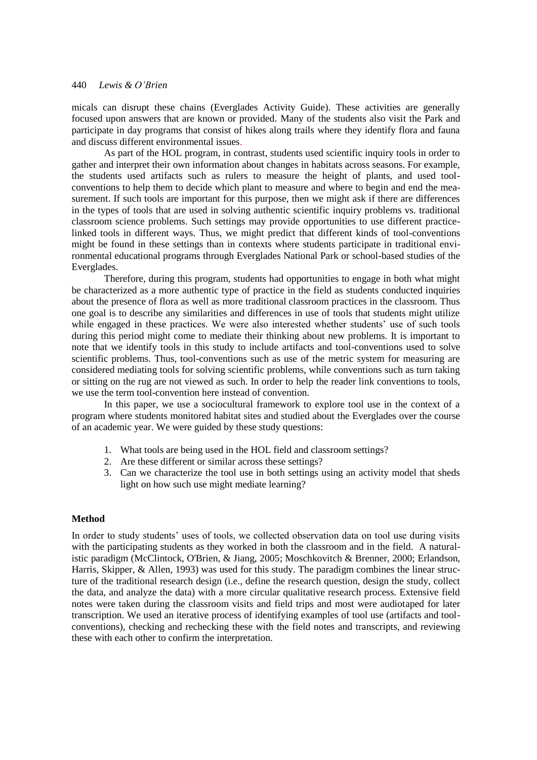micals can disrupt these chains (Everglades Activity Guide). These activities are generally focused upon answers that are known or provided. Many of the students also visit the Park and participate in day programs that consist of hikes along trails where they identify flora and fauna and discuss different environmental issues.

As part of the HOL program, in contrast, students used scientific inquiry tools in order to gather and interpret their own information about changes in habitats across seasons. For example, the students used artifacts such as rulers to measure the height of plants, and used toolconventions to help them to decide which plant to measure and where to begin and end the measurement. If such tools are important for this purpose, then we might ask if there are differences in the types of tools that are used in solving authentic scientific inquiry problems vs. traditional classroom science problems. Such settings may provide opportunities to use different practicelinked tools in different ways. Thus, we might predict that different kinds of tool-conventions might be found in these settings than in contexts where students participate in traditional environmental educational programs through Everglades National Park or school-based studies of the Everglades.

Therefore, during this program, students had opportunities to engage in both what might be characterized as a more authentic type of practice in the field as students conducted inquiries about the presence of flora as well as more traditional classroom practices in the classroom. Thus one goal is to describe any similarities and differences in use of tools that students might utilize while engaged in these practices. We were also interested whether students' use of such tools during this period might come to mediate their thinking about new problems. It is important to note that we identify tools in this study to include artifacts and tool-conventions used to solve scientific problems. Thus, tool-conventions such as use of the metric system for measuring are considered mediating tools for solving scientific problems, while conventions such as turn taking or sitting on the rug are not viewed as such. In order to help the reader link conventions to tools, we use the term tool-convention here instead of convention.

In this paper, we use a sociocultural framework to explore tool use in the context of a program where students monitored habitat sites and studied about the Everglades over the course of an academic year. We were guided by these study questions:

- 1. What tools are being used in the HOL field and classroom settings?
- 2. Are these different or similar across these settings?
- 3. Can we characterize the tool use in both settings using an activity model that sheds light on how such use might mediate learning?

# **Method**

In order to study students' uses of tools, we collected observation data on tool use during visits with the participating students as they worked in both the classroom and in the field. A naturalistic paradigm (McClintock, O'Brien, & Jiang, 2005; Moschkovitch & Brenner, 2000; Erlandson, Harris, Skipper, & Allen, 1993) was used for this study. The paradigm combines the linear structure of the traditional research design (i.e., define the research question, design the study, collect the data, and analyze the data) with a more circular qualitative research process. Extensive field notes were taken during the classroom visits and field trips and most were audiotaped for later transcription. We used an iterative process of identifying examples of tool use (artifacts and toolconventions), checking and rechecking these with the field notes and transcripts, and reviewing these with each other to confirm the interpretation.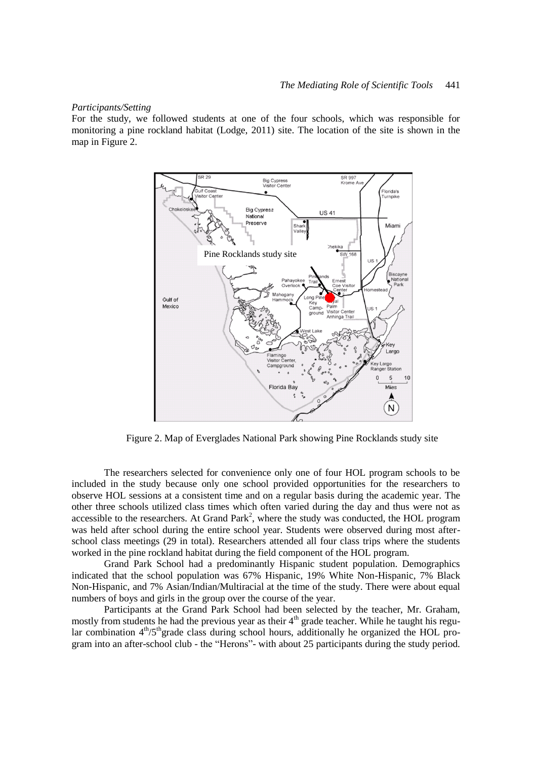#### *Participants/Setting*

For the study, we followed students at one of the four schools, which was responsible for monitoring a pine rockland habitat (Lodge, 2011) site. The location of the site is shown in the map in Figure 2.



Figure 2. Map of Everglades National Park showing Pine Rocklands study site

The researchers selected for convenience only one of four HOL program schools to be included in the study because only one school provided opportunities for the researchers to observe HOL sessions at a consistent time and on a regular basis during the academic year. The other three schools utilized class times which often varied during the day and thus were not as accessible to the researchers. At Grand Park<sup>2</sup>, where the study was conducted, the HOL program was held after school during the entire school year. Students were observed during most afterschool class meetings (29 in total). Researchers attended all four class trips where the students worked in the pine rockland habitat during the field component of the HOL program.

Grand Park School had a predominantly Hispanic student population. Demographics indicated that the school population was 67% Hispanic, 19% White Non-Hispanic, 7% Black Non-Hispanic, and 7% Asian/Indian/Multiracial at the time of the study. There were about equal numbers of boys and girls in the group over the course of the year.

Participants at the Grand Park School had been selected by the teacher, Mr. Graham, mostly from students he had the previous year as their 4<sup>th</sup> grade teacher. While he taught his regular combination  $4<sup>th</sup>/5<sup>th</sup>$ grade class during school hours, additionally he organized the HOL program into an after-school club - the "Herons"- with about 25 participants during the study period.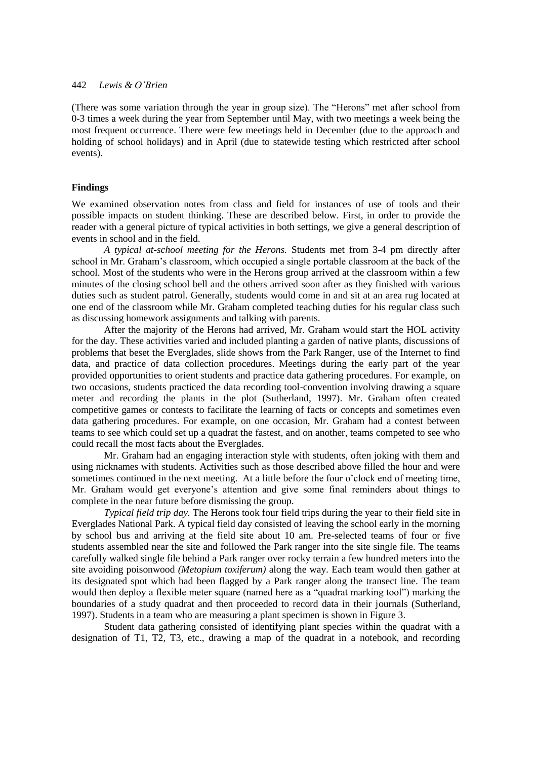(There was some variation through the year in group size). The "Herons" met after school from 0-3 times a week during the year from September until May, with two meetings a week being the most frequent occurrence. There were few meetings held in December (due to the approach and holding of school holidays) and in April (due to statewide testing which restricted after school events).

# **Findings**

We examined observation notes from class and field for instances of use of tools and their possible impacts on student thinking. These are described below. First, in order to provide the reader with a general picture of typical activities in both settings, we give a general description of events in school and in the field.

*A typical at-school meeting for the Herons.* Students met from 3-4 pm directly after school in Mr. Graham's classroom, which occupied a single portable classroom at the back of the school. Most of the students who were in the Herons group arrived at the classroom within a few minutes of the closing school bell and the others arrived soon after as they finished with various duties such as student patrol. Generally, students would come in and sit at an area rug located at one end of the classroom while Mr. Graham completed teaching duties for his regular class such as discussing homework assignments and talking with parents.

After the majority of the Herons had arrived, Mr. Graham would start the HOL activity for the day. These activities varied and included planting a garden of native plants, discussions of problems that beset the Everglades, slide shows from the Park Ranger, use of the Internet to find data, and practice of data collection procedures. Meetings during the early part of the year provided opportunities to orient students and practice data gathering procedures. For example, on two occasions, students practiced the data recording tool-convention involving drawing a square meter and recording the plants in the plot (Sutherland, 1997). Mr. Graham often created competitive games or contests to facilitate the learning of facts or concepts and sometimes even data gathering procedures. For example, on one occasion, Mr. Graham had a contest between teams to see which could set up a quadrat the fastest, and on another, teams competed to see who could recall the most facts about the Everglades.

Mr. Graham had an engaging interaction style with students, often joking with them and using nicknames with students. Activities such as those described above filled the hour and were sometimes continued in the next meeting. At a little before the four o'clock end of meeting time, Mr. Graham would get everyone's attention and give some final reminders about things to complete in the near future before dismissing the group.

*Typical field trip day.* The Herons took four field trips during the year to their field site in Everglades National Park. A typical field day consisted of leaving the school early in the morning by school bus and arriving at the field site about 10 am. Pre-selected teams of four or five students assembled near the site and followed the Park ranger into the site single file. The teams carefully walked single file behind a Park ranger over rocky terrain a few hundred meters into the site avoiding poisonwood *(Metopium toxiferum)* along the way. Each team would then gather at its designated spot which had been flagged by a Park ranger along the transect line. The team would then deploy a flexible meter square (named here as a "quadrat marking tool") marking the boundaries of a study quadrat and then proceeded to record data in their journals (Sutherland, 1997). Students in a team who are measuring a plant specimen is shown in Figure 3.

Student data gathering consisted of identifying plant species within the quadrat with a designation of T1, T2, T3, etc., drawing a map of the quadrat in a notebook, and recording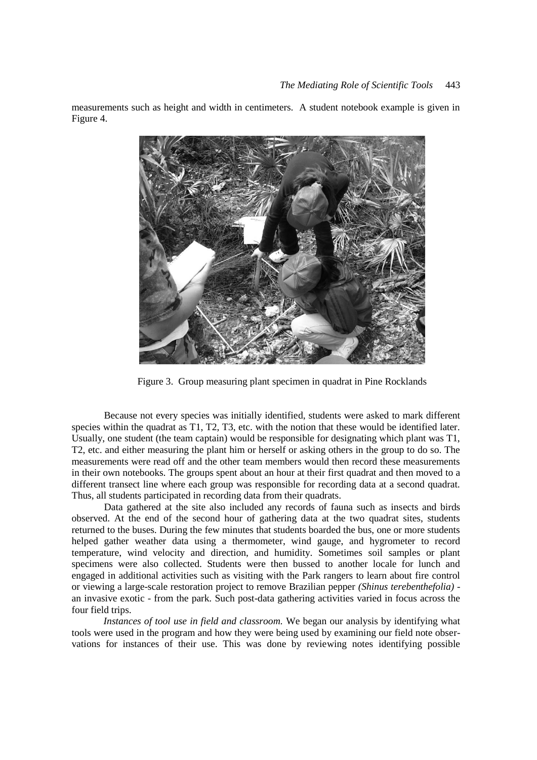measurements such as height and width in centimeters. A student notebook example is given in Figure 4.



Figure 3. Group measuring plant specimen in quadrat in Pine Rocklands

Because not every species was initially identified, students were asked to mark different species within the quadrat as T1, T2, T3, etc. with the notion that these would be identified later. Usually, one student (the team captain) would be responsible for designating which plant was T1, T2, etc. and either measuring the plant him or herself or asking others in the group to do so. The measurements were read off and the other team members would then record these measurements in their own notebooks. The groups spent about an hour at their first quadrat and then moved to a different transect line where each group was responsible for recording data at a second quadrat. Thus, all students participated in recording data from their quadrats.

Data gathered at the site also included any records of fauna such as insects and birds observed. At the end of the second hour of gathering data at the two quadrat sites, students returned to the buses. During the few minutes that students boarded the bus, one or more students helped gather weather data using a thermometer, wind gauge, and hygrometer to record temperature, wind velocity and direction, and humidity. Sometimes soil samples or plant specimens were also collected. Students were then bussed to another locale for lunch and engaged in additional activities such as visiting with the Park rangers to learn about fire control or viewing a large-scale restoration project to remove Brazilian pepper *(Shinus terebenthefolia)* an invasive exotic - from the park. Such post-data gathering activities varied in focus across the four field trips.

*Instances of tool use in field and classroom.* We began our analysis by identifying what tools were used in the program and how they were being used by examining our field note observations for instances of their use. This was done by reviewing notes identifying possible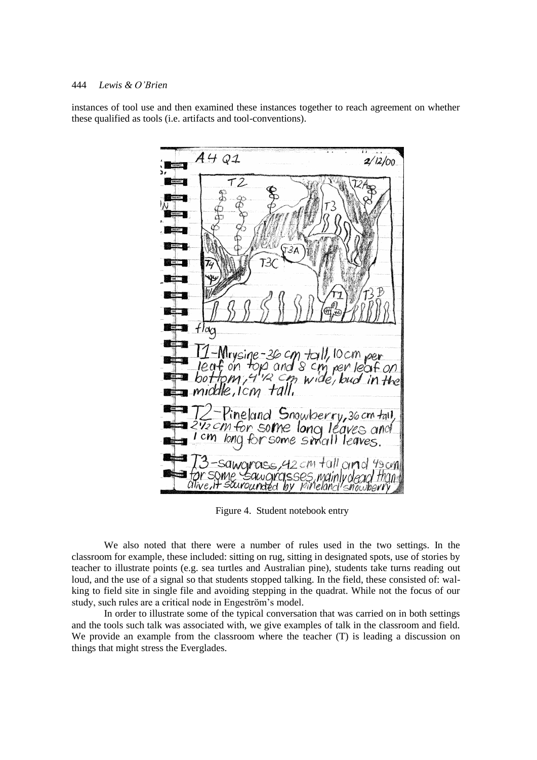instances of tool use and then examined these instances together to reach agreement on whether these qualified as tools (i.e. artifacts and tool-conventions).



Figure 4. Student notebook entry

We also noted that there were a number of rules used in the two settings. In the classroom for example, these included: sitting on rug, sitting in designated spots, use of stories by teacher to illustrate points (e.g. sea turtles and Australian pine), students take turns reading out loud, and the use of a signal so that students stopped talking. In the field, these consisted of: walking to field site in single file and avoiding stepping in the quadrat. While not the focus of our study, such rules are a critical node in Engeström's model.

In order to illustrate some of the typical conversation that was carried on in both settings and the tools such talk was associated with, we give examples of talk in the classroom and field. We provide an example from the classroom where the teacher (T) is leading a discussion on things that might stress the Everglades.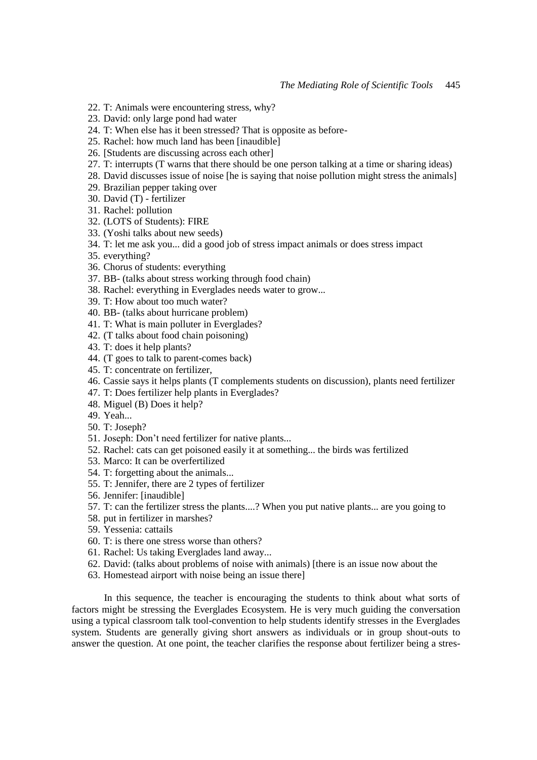- 22. T: Animals were encountering stress, why?
- 23. David: only large pond had water
- 24. T: When else has it been stressed? That is opposite as before-
- 25. Rachel: how much land has been [inaudible]
- 26. [Students are discussing across each other]
- 27. T: interrupts (T warns that there should be one person talking at a time or sharing ideas)
- 28. David discusses issue of noise [he is saying that noise pollution might stress the animals]
- 29. Brazilian pepper taking over
- 30. David (T) fertilizer
- 31. Rachel: pollution
- 32. (LOTS of Students): FIRE
- 33. (Yoshi talks about new seeds)
- 34. T: let me ask you... did a good job of stress impact animals or does stress impact
- 35. everything?
- 36. Chorus of students: everything
- 37. BB- (talks about stress working through food chain)
- 38. Rachel: everything in Everglades needs water to grow...
- 39. T: How about too much water?
- 40. BB- (talks about hurricane problem)
- 41. T: What is main polluter in Everglades?
- 42. (T talks about food chain poisoning)
- 43. T: does it help plants?
- 44. (T goes to talk to parent-comes back)
- 45. T: concentrate on fertilizer,
- 46. Cassie says it helps plants (T complements students on discussion), plants need fertilizer
- 47. T: Does fertilizer help plants in Everglades?
- 48. Miguel (B) Does it help?
- 49. Yeah...
- 50. T: Joseph?
- 51. Joseph: Don't need fertilizer for native plants...
- 52. Rachel: cats can get poisoned easily it at something... the birds was fertilized
- 53. Marco: It can be overfertilized
- 54. T: forgetting about the animals...
- 55. T: Jennifer, there are 2 types of fertilizer
- 56. Jennifer: [inaudible]
- 57. T: can the fertilizer stress the plants....? When you put native plants... are you going to
- 58. put in fertilizer in marshes?
- 59. Yessenia: cattails
- 60. T: is there one stress worse than others?
- 61. Rachel: Us taking Everglades land away...
- 62. David: (talks about problems of noise with animals) [there is an issue now about the
- 63. Homestead airport with noise being an issue there]

In this sequence, the teacher is encouraging the students to think about what sorts of factors might be stressing the Everglades Ecosystem. He is very much guiding the conversation using a typical classroom talk tool-convention to help students identify stresses in the Everglades system. Students are generally giving short answers as individuals or in group shout-outs to answer the question. At one point, the teacher clarifies the response about fertilizer being a stres-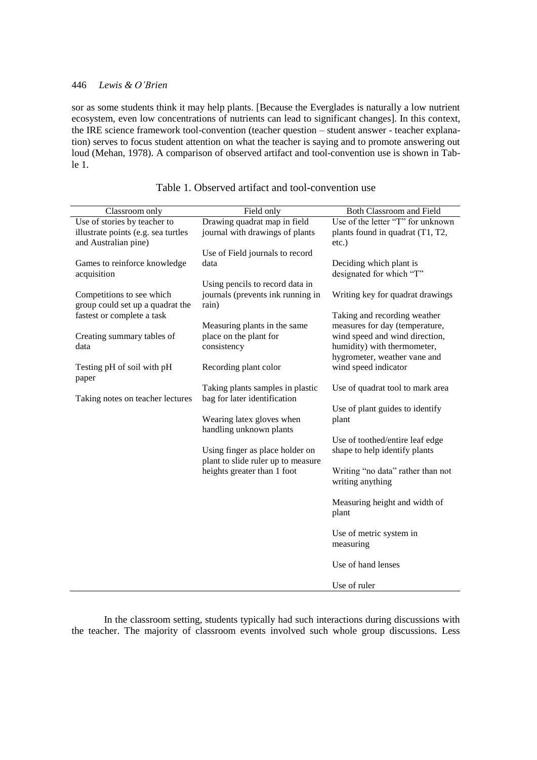sor as some students think it may help plants. [Because the Everglades is naturally a low nutrient ecosystem, even low concentrations of nutrients can lead to significant changes]. In this context, the IRE science framework tool-convention (teacher question – student answer - teacher explanation) serves to focus student attention on what the teacher is saying and to promote answering out loud (Mehan, 1978). A comparison of observed artifact and tool-convention use is shown in Table 1.

| Classroom only                                                                              | Field only                                                                                           | Both Classroom and Field                                                                        |
|---------------------------------------------------------------------------------------------|------------------------------------------------------------------------------------------------------|-------------------------------------------------------------------------------------------------|
| Use of stories by teacher to<br>illustrate points (e.g. sea turtles<br>and Australian pine) | Drawing quadrat map in field<br>journal with drawings of plants                                      | Use of the letter "T" for unknown<br>plants found in quadrat (T1, T2,<br>$etc.$ )               |
| Games to reinforce knowledge                                                                | Use of Field journals to record<br>data                                                              | Deciding which plant is                                                                         |
| acquisition<br>Competitions to see which                                                    | Using pencils to record data in<br>journals (prevents ink running in                                 | designated for which "T"<br>Writing key for quadrat drawings                                    |
| group could set up a quadrat the<br>fastest or complete a task                              | rain)                                                                                                | Taking and recording weather                                                                    |
| Creating summary tables of<br>data                                                          | Measuring plants in the same<br>place on the plant for<br>consistency                                | measures for day (temperature,<br>wind speed and wind direction,<br>humidity) with thermometer, |
| Testing pH of soil with pH<br>paper                                                         | Recording plant color                                                                                | hygrometer, weather vane and<br>wind speed indicator                                            |
| Taking notes on teacher lectures                                                            | Taking plants samples in plastic<br>bag for later identification                                     | Use of quadrat tool to mark area                                                                |
|                                                                                             | Wearing latex gloves when<br>handling unknown plants                                                 | Use of plant guides to identify<br>plant                                                        |
|                                                                                             | Using finger as place holder on<br>plant to slide ruler up to measure<br>heights greater than 1 foot | Use of toothed/entire leaf edge<br>shape to help identify plants                                |
|                                                                                             |                                                                                                      | Writing "no data" rather than not<br>writing anything                                           |
|                                                                                             |                                                                                                      | Measuring height and width of<br>plant                                                          |
|                                                                                             |                                                                                                      | Use of metric system in<br>measuring                                                            |
|                                                                                             |                                                                                                      | Use of hand lenses                                                                              |
|                                                                                             |                                                                                                      | Use of ruler                                                                                    |

Table 1. Observed artifact and tool-convention use

In the classroom setting, students typically had such interactions during discussions with the teacher. The majority of classroom events involved such whole group discussions. Less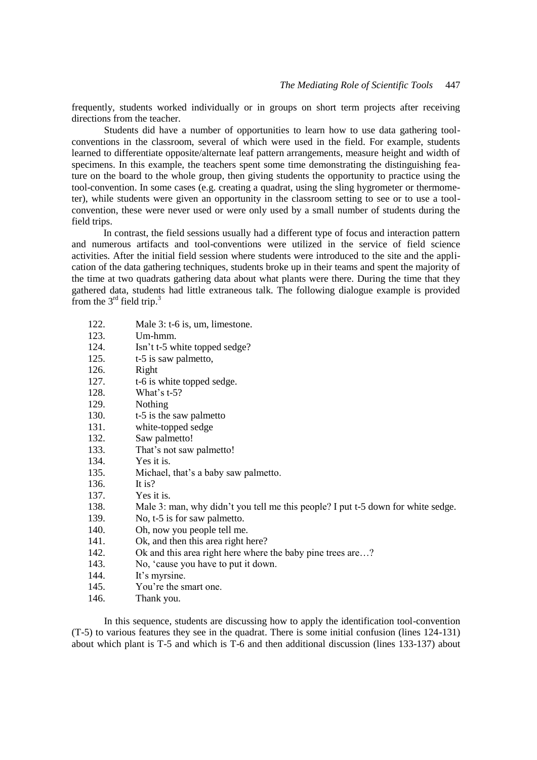frequently, students worked individually or in groups on short term projects after receiving directions from the teacher.

Students did have a number of opportunities to learn how to use data gathering toolconventions in the classroom, several of which were used in the field. For example, students learned to differentiate opposite/alternate leaf pattern arrangements, measure height and width of specimens. In this example, the teachers spent some time demonstrating the distinguishing feature on the board to the whole group, then giving students the opportunity to practice using the tool-convention. In some cases (e.g. creating a quadrat, using the sling hygrometer or thermometer), while students were given an opportunity in the classroom setting to see or to use a toolconvention, these were never used or were only used by a small number of students during the field trips.

In contrast, the field sessions usually had a different type of focus and interaction pattern and numerous artifacts and tool-conventions were utilized in the service of field science activities. After the initial field session where students were introduced to the site and the application of the data gathering techniques, students broke up in their teams and spent the majority of the time at two quadrats gathering data about what plants were there. During the time that they gathered data, students had little extraneous talk. The following dialogue example is provided from the  $3<sup>rd</sup>$  field trip.<sup>3</sup>

- 122. Male 3: t-6 is, um, limestone.
- 123. Um-hmm.
- 124. Isn't t-5 white topped sedge?
- 125. t-5 is saw palmetto,
- 126. Right
- 127. t-6 is white topped sedge.
- 128. What's t-5?
- 129. Nothing
- 130. t-5 is the saw palmetto
- 131. white-topped sedge
- 132. Saw palmetto!
- 133. That's not saw palmetto!
- 134. Yes it is.
- 135. Michael, that's a baby saw palmetto.
- 136. It is?
- 137. Yes it is.
- 138. Male 3: man, why didn't you tell me this people? I put t-5 down for white sedge.
- 139. No, t-5 is for saw palmetto.
- 140. Oh, now you people tell me.
- 141. Ok, and then this area right here?
- 142. Ok and this area right here where the baby pine trees are…?
- 143. No, 'cause you have to put it down.
- 144. It's myrsine.
- 145. You're the smart one.
- 146. Thank you.

In this sequence, students are discussing how to apply the identification tool-convention (T-5) to various features they see in the quadrat. There is some initial confusion (lines 124-131) about which plant is T-5 and which is T-6 and then additional discussion (lines 133-137) about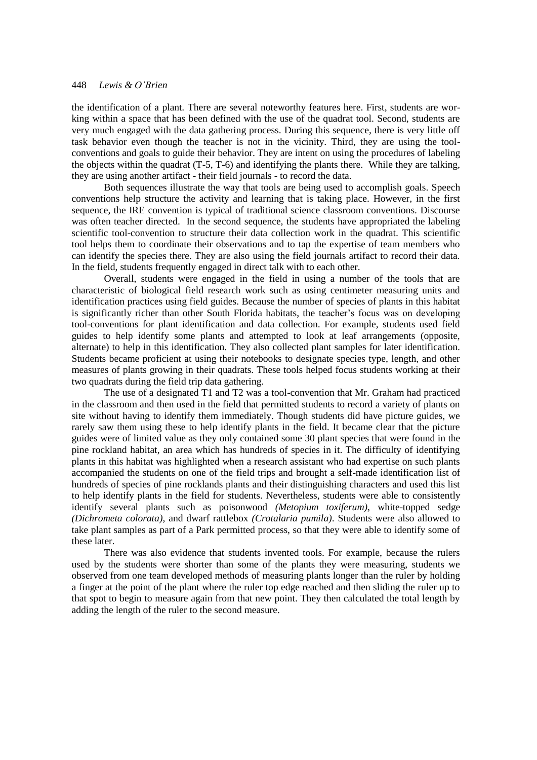the identification of a plant. There are several noteworthy features here. First, students are working within a space that has been defined with the use of the quadrat tool. Second, students are very much engaged with the data gathering process. During this sequence, there is very little off task behavior even though the teacher is not in the vicinity. Third, they are using the toolconventions and goals to guide their behavior. They are intent on using the procedures of labeling the objects within the quadrat (T-5, T-6) and identifying the plants there. While they are talking, they are using another artifact - their field journals - to record the data.

Both sequences illustrate the way that tools are being used to accomplish goals. Speech conventions help structure the activity and learning that is taking place. However, in the first sequence, the IRE convention is typical of traditional science classroom conventions. Discourse was often teacher directed. In the second sequence, the students have appropriated the labeling scientific tool-convention to structure their data collection work in the quadrat. This scientific tool helps them to coordinate their observations and to tap the expertise of team members who can identify the species there. They are also using the field journals artifact to record their data. In the field, students frequently engaged in direct talk with to each other.

Overall, students were engaged in the field in using a number of the tools that are characteristic of biological field research work such as using centimeter measuring units and identification practices using field guides. Because the number of species of plants in this habitat is significantly richer than other South Florida habitats, the teacher's focus was on developing tool-conventions for plant identification and data collection. For example, students used field guides to help identify some plants and attempted to look at leaf arrangements (opposite, alternate) to help in this identification. They also collected plant samples for later identification. Students became proficient at using their notebooks to designate species type, length, and other measures of plants growing in their quadrats. These tools helped focus students working at their two quadrats during the field trip data gathering.

The use of a designated T1 and T2 was a tool-convention that Mr. Graham had practiced in the classroom and then used in the field that permitted students to record a variety of plants on site without having to identify them immediately. Though students did have picture guides, we rarely saw them using these to help identify plants in the field. It became clear that the picture guides were of limited value as they only contained some 30 plant species that were found in the pine rockland habitat, an area which has hundreds of species in it. The difficulty of identifying plants in this habitat was highlighted when a research assistant who had expertise on such plants accompanied the students on one of the field trips and brought a self-made identification list of hundreds of species of pine rocklands plants and their distinguishing characters and used this list to help identify plants in the field for students. Nevertheless, students were able to consistently identify several plants such as poisonwood *(Metopium toxiferum)*, white-topped sedge *(Dichrometa colorata)*, and dwarf rattlebox *(Crotalaria pumila)*. Students were also allowed to take plant samples as part of a Park permitted process, so that they were able to identify some of these later.

There was also evidence that students invented tools. For example, because the rulers used by the students were shorter than some of the plants they were measuring, students we observed from one team developed methods of measuring plants longer than the ruler by holding a finger at the point of the plant where the ruler top edge reached and then sliding the ruler up to that spot to begin to measure again from that new point. They then calculated the total length by adding the length of the ruler to the second measure.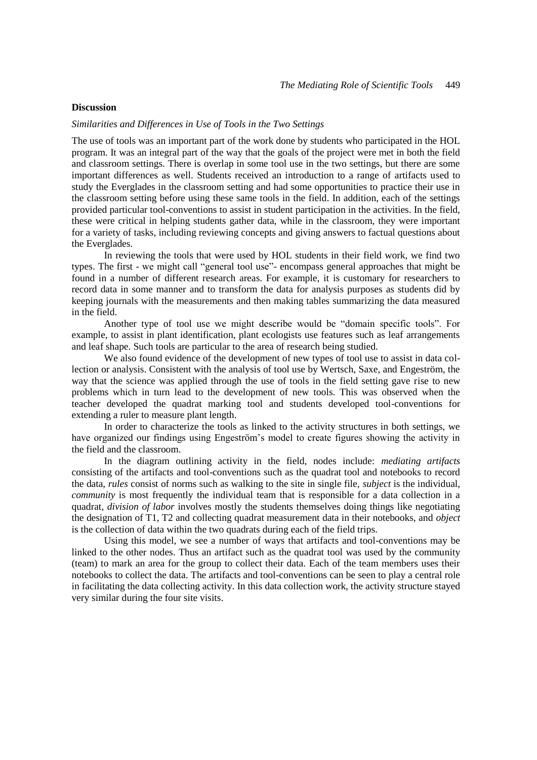# **Discussion**

#### *Similarities and Differences in Use of Tools in the Two Settings*

The use of tools was an important part of the work done by students who participated in the HOL program. It was an integral part of the way that the goals of the project were met in both the field and classroom settings. There is overlap in some tool use in the two settings, but there are some important differences as well. Students received an introduction to a range of artifacts used to study the Everglades in the classroom setting and had some opportunities to practice their use in the classroom setting before using these same tools in the field. In addition, each of the settings provided particular tool-conventions to assist in student participation in the activities. In the field, these were critical in helping students gather data, while in the classroom, they were important for a variety of tasks, including reviewing concepts and giving answers to factual questions about the Everglades.

In reviewing the tools that were used by HOL students in their field work, we find two types. The first - we might call "general tool use"- encompass general approaches that might be found in a number of different research areas. For example, it is customary for researchers to record data in some manner and to transform the data for analysis purposes as students did by keeping journals with the measurements and then making tables summarizing the data measured in the field.

Another type of tool use we might describe would be "domain specific tools". For example, to assist in plant identification, plant ecologists use features such as leaf arrangements and leaf shape. Such tools are particular to the area of research being studied.

We also found evidence of the development of new types of tool use to assist in data collection or analysis. Consistent with the analysis of tool use by Wertsch, Saxe, and Engeström, the way that the science was applied through the use of tools in the field setting gave rise to new problems which in turn lead to the development of new tools. This was observed when the teacher developed the quadrat marking tool and students developed tool-conventions for extending a ruler to measure plant length.

In order to characterize the tools as linked to the activity structures in both settings, we have organized our findings using Engeström's model to create figures showing the activity in the field and the classroom.

In the diagram outlining activity in the field, nodes include: *mediating artifacts* consisting of the artifacts and tool-conventions such as the quadrat tool and notebooks to record the data, *rules* consist of norms such as walking to the site in single file, *subject* is the individual, *community* is most frequently the individual team that is responsible for a data collection in a quadrat, *division of labor* involves mostly the students themselves doing things like negotiating the designation of T1, T2 and collecting quadrat measurement data in their notebooks, and *object*  is the collection of data within the two quadrats during each of the field trips.

Using this model, we see a number of ways that artifacts and tool-conventions may be linked to the other nodes. Thus an artifact such as the quadrat tool was used by the community (team) to mark an area for the group to collect their data. Each of the team members uses their notebooks to collect the data. The artifacts and tool-conventions can be seen to play a central role in facilitating the data collecting activity. In this data collection work, the activity structure stayed very similar during the four site visits.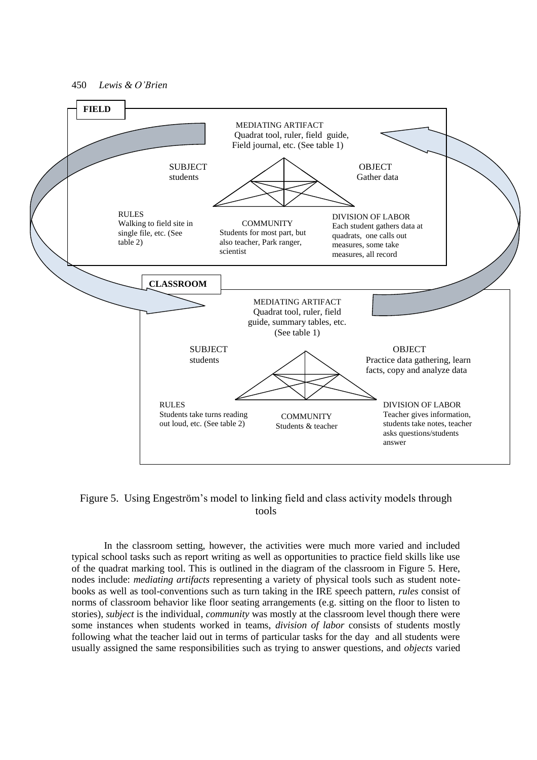

# Figure 5. Using Engeström's model to linking field and class activity models through tools

In the classroom setting, however, the activities were much more varied and included typical school tasks such as report writing as well as opportunities to practice field skills like use of the quadrat marking tool. This is outlined in the diagram of the classroom in Figure 5. Here, nodes include: *mediating artifacts* representing a variety of physical tools such as student notebooks as well as tool-conventions such as turn taking in the IRE speech pattern, *rules* consist of norms of classroom behavior like floor seating arrangements (e.g. sitting on the floor to listen to stories), *subject* is the individual, *community* was mostly at the classroom level though there were some instances when students worked in teams, *division of labor* consists of students mostly following what the teacher laid out in terms of particular tasks for the day and all students were usually assigned the same responsibilities such as trying to answer questions, and *objects* varied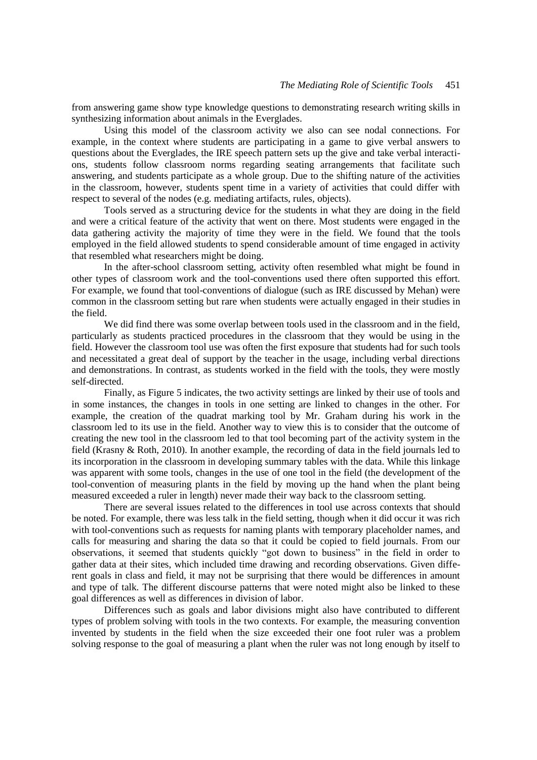from answering game show type knowledge questions to demonstrating research writing skills in synthesizing information about animals in the Everglades.

Using this model of the classroom activity we also can see nodal connections. For example, in the context where students are participating in a game to give verbal answers to questions about the Everglades, the IRE speech pattern sets up the give and take verbal interactions, students follow classroom norms regarding seating arrangements that facilitate such answering, and students participate as a whole group. Due to the shifting nature of the activities in the classroom, however, students spent time in a variety of activities that could differ with respect to several of the nodes (e.g. mediating artifacts, rules, objects).

Tools served as a structuring device for the students in what they are doing in the field and were a critical feature of the activity that went on there. Most students were engaged in the data gathering activity the majority of time they were in the field. We found that the tools employed in the field allowed students to spend considerable amount of time engaged in activity that resembled what researchers might be doing.

In the after-school classroom setting, activity often resembled what might be found in other types of classroom work and the tool-conventions used there often supported this effort. For example, we found that tool-conventions of dialogue (such as IRE discussed by Mehan) were common in the classroom setting but rare when students were actually engaged in their studies in the field.

We did find there was some overlap between tools used in the classroom and in the field, particularly as students practiced procedures in the classroom that they would be using in the field. However the classroom tool use was often the first exposure that students had for such tools and necessitated a great deal of support by the teacher in the usage, including verbal directions and demonstrations. In contrast, as students worked in the field with the tools, they were mostly self-directed.

Finally, as Figure 5 indicates, the two activity settings are linked by their use of tools and in some instances, the changes in tools in one setting are linked to changes in the other. For example, the creation of the quadrat marking tool by Mr. Graham during his work in the classroom led to its use in the field. Another way to view this is to consider that the outcome of creating the new tool in the classroom led to that tool becoming part of the activity system in the field (Krasny & Roth, 2010). In another example, the recording of data in the field journals led to its incorporation in the classroom in developing summary tables with the data. While this linkage was apparent with some tools, changes in the use of one tool in the field (the development of the tool-convention of measuring plants in the field by moving up the hand when the plant being measured exceeded a ruler in length) never made their way back to the classroom setting.

There are several issues related to the differences in tool use across contexts that should be noted. For example, there was less talk in the field setting, though when it did occur it was rich with tool-conventions such as requests for naming plants with temporary placeholder names, and calls for measuring and sharing the data so that it could be copied to field journals. From our observations, it seemed that students quickly "got down to business" in the field in order to gather data at their sites, which included time drawing and recording observations. Given different goals in class and field, it may not be surprising that there would be differences in amount and type of talk. The different discourse patterns that were noted might also be linked to these goal differences as well as differences in division of labor.

Differences such as goals and labor divisions might also have contributed to different types of problem solving with tools in the two contexts. For example, the measuring convention invented by students in the field when the size exceeded their one foot ruler was a problem solving response to the goal of measuring a plant when the ruler was not long enough by itself to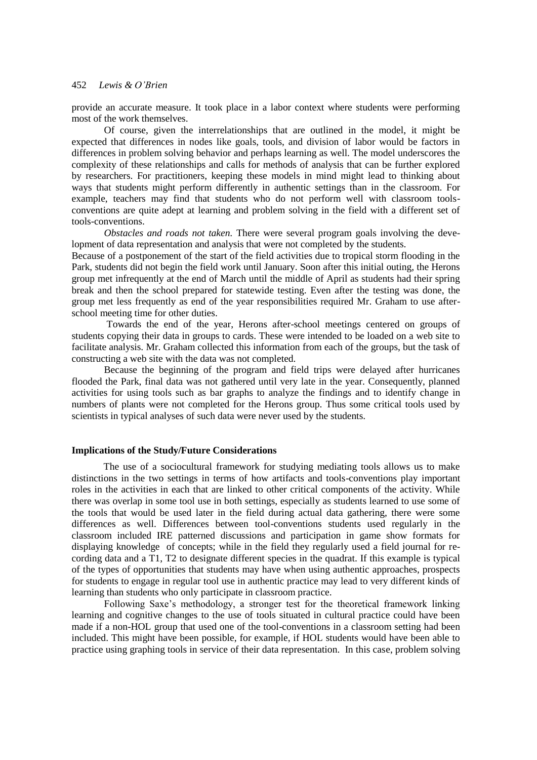provide an accurate measure. It took place in a labor context where students were performing most of the work themselves.

Of course, given the interrelationships that are outlined in the model, it might be expected that differences in nodes like goals, tools, and division of labor would be factors in differences in problem solving behavior and perhaps learning as well. The model underscores the complexity of these relationships and calls for methods of analysis that can be further explored by researchers. For practitioners, keeping these models in mind might lead to thinking about ways that students might perform differently in authentic settings than in the classroom. For example, teachers may find that students who do not perform well with classroom toolsconventions are quite adept at learning and problem solving in the field with a different set of tools-conventions.

*Obstacles and roads not taken.* There were several program goals involving the development of data representation and analysis that were not completed by the students.

Because of a postponement of the start of the field activities due to tropical storm flooding in the Park, students did not begin the field work until January. Soon after this initial outing, the Herons group met infrequently at the end of March until the middle of April as students had their spring break and then the school prepared for statewide testing. Even after the testing was done, the group met less frequently as end of the year responsibilities required Mr. Graham to use afterschool meeting time for other duties.

Towards the end of the year, Herons after-school meetings centered on groups of students copying their data in groups to cards. These were intended to be loaded on a web site to facilitate analysis. Mr. Graham collected this information from each of the groups, but the task of constructing a web site with the data was not completed.

Because the beginning of the program and field trips were delayed after hurricanes flooded the Park, final data was not gathered until very late in the year. Consequently, planned activities for using tools such as bar graphs to analyze the findings and to identify change in numbers of plants were not completed for the Herons group. Thus some critical tools used by scientists in typical analyses of such data were never used by the students.

# **Implications of the Study/Future Considerations**

The use of a sociocultural framework for studying mediating tools allows us to make distinctions in the two settings in terms of how artifacts and tools-conventions play important roles in the activities in each that are linked to other critical components of the activity. While there was overlap in some tool use in both settings, especially as students learned to use some of the tools that would be used later in the field during actual data gathering, there were some differences as well. Differences between tool-conventions students used regularly in the classroom included IRE patterned discussions and participation in game show formats for displaying knowledge of concepts; while in the field they regularly used a field journal for recording data and a T1, T2 to designate different species in the quadrat. If this example is typical of the types of opportunities that students may have when using authentic approaches, prospects for students to engage in regular tool use in authentic practice may lead to very different kinds of learning than students who only participate in classroom practice.

Following Saxe's methodology, a stronger test for the theoretical framework linking learning and cognitive changes to the use of tools situated in cultural practice could have been made if a non-HOL group that used one of the tool-conventions in a classroom setting had been included. This might have been possible, for example, if HOL students would have been able to practice using graphing tools in service of their data representation. In this case, problem solving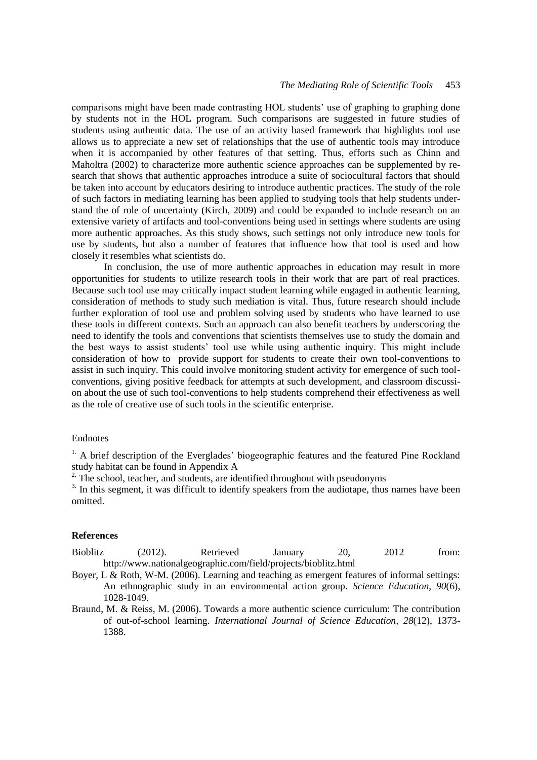comparisons might have been made contrasting HOL students' use of graphing to graphing done by students not in the HOL program. Such comparisons are suggested in future studies of students using authentic data. The use of an activity based framework that highlights tool use allows us to appreciate a new set of relationships that the use of authentic tools may introduce when it is accompanied by other features of that setting. Thus, efforts such as Chinn and Maholtra (2002) to characterize more authentic science approaches can be supplemented by research that shows that authentic approaches introduce a suite of sociocultural factors that should be taken into account by educators desiring to introduce authentic practices. The study of the role of such factors in mediating learning has been applied to studying tools that help students understand the of role of uncertainty (Kirch, 2009) and could be expanded to include research on an extensive variety of artifacts and tool-conventions being used in settings where students are using more authentic approaches. As this study shows, such settings not only introduce new tools for use by students, but also a number of features that influence how that tool is used and how closely it resembles what scientists do.

In conclusion, the use of more authentic approaches in education may result in more opportunities for students to utilize research tools in their work that are part of real practices. Because such tool use may critically impact student learning while engaged in authentic learning, consideration of methods to study such mediation is vital. Thus, future research should include further exploration of tool use and problem solving used by students who have learned to use these tools in different contexts. Such an approach can also benefit teachers by underscoring the need to identify the tools and conventions that scientists themselves use to study the domain and the best ways to assist students' tool use while using authentic inquiry. This might include consideration of how to provide support for students to create their own tool-conventions to assist in such inquiry. This could involve monitoring student activity for emergence of such toolconventions, giving positive feedback for attempts at such development, and classroom discussion about the use of such tool-conventions to help students comprehend their effectiveness as well as the role of creative use of such tools in the scientific enterprise.

# Endnotes

<sup>1.</sup> A brief description of the Everglades' biogeographic features and the featured Pine Rockland study habitat can be found in Appendix A

 $2\degree$ . The school, teacher, and students, are identified throughout with pseudonyms

<sup>3.</sup> In this segment, it was difficult to identify speakers from the audiotape, thus names have been omitted.

#### **References**

- Bioblitz (2012). Retrieved January 20, 2012 from: <http://www.nationalgeographic.com/field/projects/bioblitz.html>
- Boyer, L & Roth, W-M. (2006). Learning and teaching as emergent features of informal settings: An ethnographic study in an environmental action group. *Science Education*, *90*(6), 1028-1049.
- Braund, M. & Reiss, M. (2006). Towards a more authentic science curriculum: The contribution of out-of-school learning. *International Journal of Science Education*, *28*(12), 1373- 1388.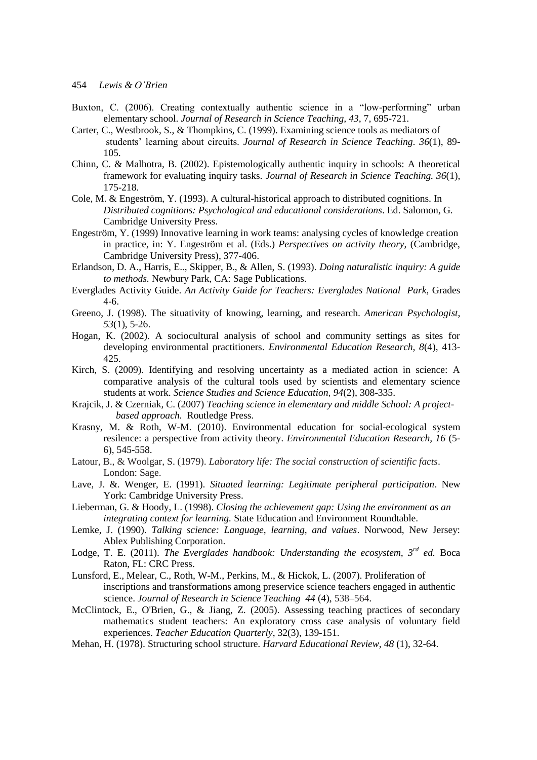- Buxton, C. (2006). Creating contextually authentic science in a "low-performing" urban elementary school. *Journal of Research in Science Teaching, 43*, 7, 695-721.
- Carter, C., Westbrook, S., & Thompkins, C. (1999). Examining science tools as mediators of students' learning about circuits. *Journal of Research in Science Teaching. 36*(1), 89- 105.
- Chinn, C. & Malhotra, B. (2002). Epistemologically authentic inquiry in schools: A theoretical framework for evaluating inquiry tasks. *Journal of Research in Science Teaching. 36*(1), 175-218.
- Cole, M. & Engeström, Y. (1993). A cultural-historical approach to distributed cognitions. In *Distributed cognitions: Psychological and educational considerations*. Ed. Salomon, G. Cambridge University Press.
- Engeström, Y. (1999) Innovative learning in work teams: analysing cycles of knowledge creation in practice, in: Y. Engeström et al. (Eds.) *Perspectives on activity theory*, (Cambridge, Cambridge University Press), 377-406.
- Erlandson, D. A., Harris, E.., Skipper, B., & Allen, S. (1993). *Doing naturalistic inquiry: A guide to methods.* Newbury Park, CA: Sage Publications.
- Everglades Activity Guide. *An Activity Guide for Teachers: Everglades National Park*, Grades 4-6.
- Greeno, J. (1998). The situativity of knowing, learning, and research. *American Psychologist*, *53*(1), 5-26.
- Hogan, K. (2002). A sociocultural analysis of school and community settings as sites for developing environmental practitioners. *Environmental Education Research, 8*(4), 413- 425.
- Kirch, S. (2009). Identifying and resolving uncertainty as a mediated action in science: A comparative analysis of the cultural tools used by scientists and elementary science students at work. *Science Studies and Science Education, 94*(2), 308-335.
- Krajcik, J. & Czerniak, C. (2007) *Teaching science in elementary and middle School: A project based approach.* Routledge Press.
- Krasny, M. & Roth, W-M. (2010). Environmental education for social-ecological system resilence: a perspective from activity theory. *Environmental Education Research, 16* (5- 6), 545-558.
- Latour, B., & Woolgar, S. (1979). *Laboratory life: The social construction of scientific facts*. London: Sage.
- Lave, J. &. Wenger, E. (1991). *Situated learning: Legitimate peripheral participation*. New York: Cambridge University Press.
- Lieberman, G. & Hoody, L. (1998). *Closing the achievement gap: Using the environment as an integrating context for learning.* State Education and Environment Roundtable.
- Lemke, J. (1990). *Talking science: Language, learning, and values*. Norwood, New Jersey: Ablex Publishing Corporation.
- Lodge, T. E. (2011). *The Everglades handbook: Understanding the ecosystem, 3rd ed.* Boca Raton, FL: CRC Press.
- Lunsford, E., Melear, C., Roth, W-M., Perkins, M., & Hickok, L. (2007). Proliferation of inscriptions and transformations among preservice science teachers engaged in authentic science. *Journal of Research in Science Teaching 44* (4), 538–564.
- McClintock, E., O'Brien, G., & Jiang, Z. (2005). Assessing teaching practices of secondary mathematics student teachers: An exploratory cross case analysis of voluntary field experiences. *Teacher Education Quarterly*, 32(3), 139-151.
- Mehan, H. (1978). Structuring school structure. *Harvard Educational Review, 48* (1), 32-64.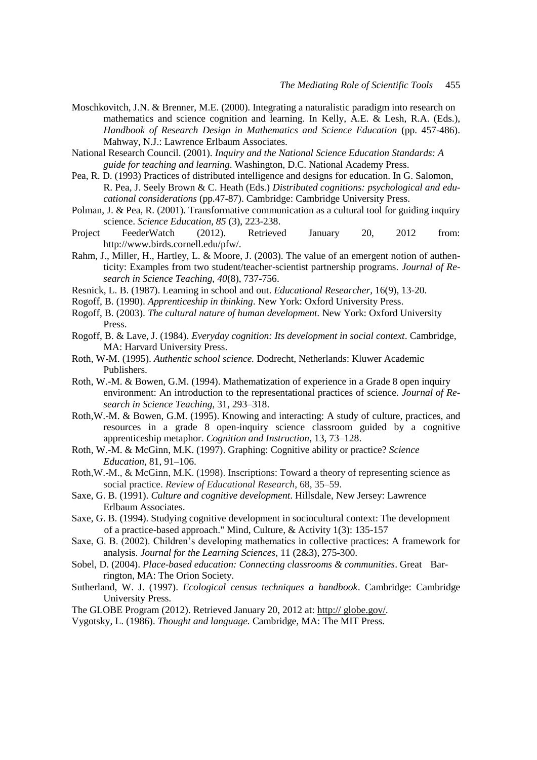- Moschkovitch, J.N. & Brenner, M.E. (2000). Integrating a naturalistic paradigm into research on mathematics and science cognition and learning. In Kelly, A.E. & Lesh, R.A. (Eds.), *Handbook of Research Design in Mathematics and Science Education* (pp. 457-486). Mahway, N.J.: Lawrence Erlbaum Associates.
- National Research Council. (2001). *Inquiry and the National Science Education Standards: A guide for teaching and learning*. Washington, D.C. National Academy Press.
- Pea, R. D. (1993) Practices of distributed intelligence and designs for education. In G. Salomon, R. Pea, J. Seely Brown & C. Heath (Eds.) *Distributed cognitions: psychological and educational considerations* (pp.47-87). Cambridge: Cambridge University Press.
- Polman, J. & Pea, R. (2001). Transformative communication as a cultural tool for guiding inquiry science. *Science Education, 85* (3), 223-238.
- Project FeederWatch (2012). Retrieved January 20, 2012 from: http://www.birds.cornell.edu/pfw/.
- Rahm, J., Miller, H., Hartley, L. & Moore, J. (2003). The value of an emergent notion of authenticity: Examples from two student/teacher-scientist partnership programs. *Journal of Research in Science Teaching, 40*(8), 737-756.
- Resnick, L. B. (1987). Learning in school and out. *Educational Researcher*, 16(9), 13-20.
- Rogoff, B. (1990). *Apprenticeship in thinking*. New York: Oxford University Press.
- Rogoff, B. (2003). *The cultural nature of human development.* New York: Oxford University Press.
- Rogoff, B. & Lave, J. (1984). *Everyday cognition: Its development in social context*. Cambridge, MA: Harvard University Press.
- Roth, W-M. (1995). *Authentic school science.* Dodrecht, Netherlands: Kluwer Academic Publishers.
- Roth, W.-M. & Bowen, G.M. (1994). Mathematization of experience in a Grade 8 open inquiry environment: An introduction to the representational practices of science. *Journal of Research in Science Teaching*, 31, 293–318.
- Roth,W.-M. & Bowen, G.M. (1995). Knowing and interacting: A study of culture, practices, and resources in a grade 8 open-inquiry science classroom guided by a cognitive apprenticeship metaphor. *Cognition and Instruction*, 13, 73–128.
- Roth, W.-M. & McGinn, M.K. (1997). Graphing: Cognitive ability or practice? *Science Education*, 81, 91–106.
- Roth,W.-M., & McGinn, M.K. (1998). Inscriptions: Toward a theory of representing science as social practice. *Review of Educational Research*, 68, 35–59.
- Saxe, G. B. (1991). *Culture and cognitive development*. Hillsdale, New Jersey: Lawrence Erlbaum Associates.
- Saxe, G. B. (1994). Studying cognitive development in sociocultural context: The development of a practice-based approach." Mind, Culture, & Activity 1(3): 135-157
- Saxe, G. B. (2002). Children's developing mathematics in collective practices: A framework for analysis. *Journal for the Learning Sciences*, 11 (2&3), 275-300.
- Sobel, D. (2004). *Place-based education: Connecting classrooms & communities*. Great Barrington, MA: The Orion Society.
- Sutherland, W. J. (1997). *Ecological census techniques a handbook*. Cambridge: Cambridge University Press.
- The GLOBE Program (2012). Retrieved January 20, 2012 at: http:// globe.gov/.
- Vygotsky, L. (1986). *Thought and language.* Cambridge, MA: The MIT Press.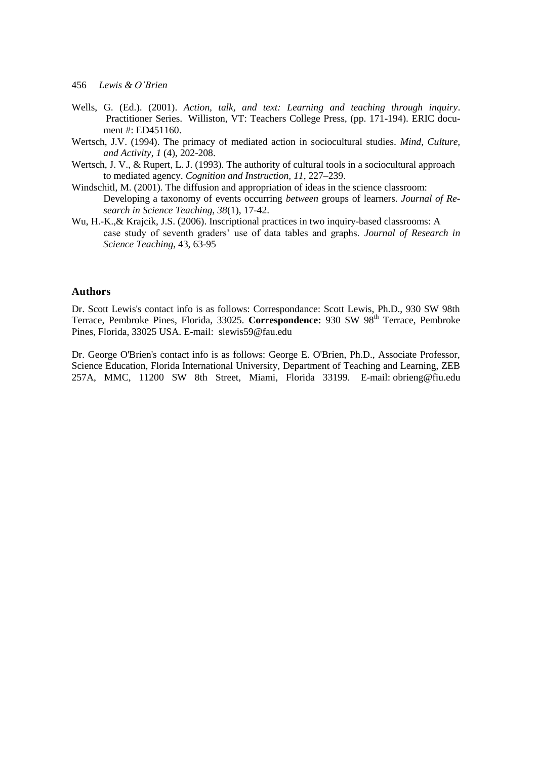- Wells, G. (Ed.). (2001). *Action, talk, and text: Learning and teaching through inquiry*. Practitioner Series. Williston, VT: Teachers College Press, (pp. 171-194). ERIC document #: ED451160.
- Wertsch, J.V. (1994). The primacy of mediated action in sociocultural studies. *Mind, Culture, and Activity*, *1* (4), 202-208.
- Wertsch, J. V., & Rupert, L. J. (1993). The authority of cultural tools in a sociocultural approach to mediated agency. *Cognition and Instruction, 11*, 227–239.
- Windschitl, M. (2001). The diffusion and appropriation of ideas in the science classroom: Developing a taxonomy of events occurring *between* groups of learners. *Journal of Research in Science Teaching*, *38*(1), 17-42.
- Wu, H.-K.,& Krajcik, J.S. (2006). Inscriptional practices in two inquiry-based classrooms: A case study of seventh graders' use of data tables and graphs. *Journal of Research in Science Teaching*, 43, 63-95

# **Authors**

Dr. Scott Lewis's contact info is as follows: Correspondance: Scott Lewis, Ph.D., 930 SW 98th Terrace, Pembroke Pines, Florida, 33025. **Correspondence:** 930 SW 98<sup>th</sup> Terrace, Pembroke Pines, Florida, 33025 USA. E-mail: slewis59@fau.edu

Dr. George O'Brien's contact info is as follows: George E. O'Brien, Ph.D., Associate Professor, Science Education, Florida International University, Department of Teaching and Learning, ZEB 257A, MMC, 11200 SW 8th Street, Miami, Florida 33199. E-mail: [obrieng@fiu.edu](mailto:obrieng@fiu.edu)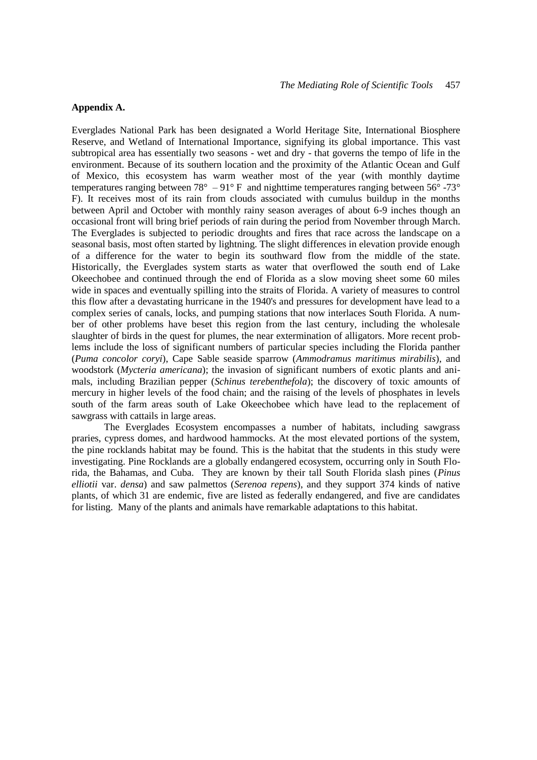## **Appendix A.**

Everglades National Park has been designated a World Heritage Site, International Biosphere Reserve, and Wetland of International Importance, signifying its global importance. This vast subtropical area has essentially two seasons - wet and dry - that governs the tempo of life in the environment. Because of its southern location and the proximity of the Atlantic Ocean and Gulf of Mexico, this ecosystem has warm weather most of the year (with monthly daytime temperatures ranging between 78 $^{\circ}$  – 91 $^{\circ}$  F and nighttime temperatures ranging between 56 $^{\circ}$  -73 $^{\circ}$ F). It receives most of its rain from clouds associated with cumulus buildup in the months between April and October with monthly rainy season averages of about 6-9 inches though an occasional front will bring brief periods of rain during the period from November through March. The Everglades is subjected to periodic droughts and fires that race across the landscape on a seasonal basis, most often started by lightning. The slight differences in elevation provide enough of a difference for the water to begin its southward flow from the middle of the state. Historically, the Everglades system starts as water that overflowed the south end of Lake Okeechobee and continued through the end of Florida as a slow moving sheet some 60 miles wide in spaces and eventually spilling into the straits of Florida. A variety of measures to control this flow after a devastating hurricane in the 1940's and pressures for development have lead to a complex series of canals, locks, and pumping stations that now interlaces South Florida. A number of other problems have beset this region from the last century, including the wholesale slaughter of birds in the quest for plumes, the near extermination of alligators. More recent problems include the loss of significant numbers of particular species including the Florida panther (*Puma concolor coryi*), Cape Sable seaside sparrow (*Ammodramus maritimus mirabilis*), and woodstork (*Mycteria americana*); the invasion of significant numbers of exotic plants and animals, including Brazilian pepper (*Schinus terebenthefola*); the discovery of toxic amounts of mercury in higher levels of the food chain; and the raising of the levels of phosphates in levels south of the farm areas south of Lake Okeechobee which have lead to the replacement of sawgrass with cattails in large areas.

The Everglades Ecosystem encompasses a number of habitats, including sawgrass praries, cypress domes, and hardwood hammocks. At the most elevated portions of the system, the pine rocklands habitat may be found. This is the habitat that the students in this study were investigating. Pine Rocklands are a globally endangered ecosystem, occurring only in South Florida, the Bahamas, and Cuba. They are known by their tall South Florida slash pines (*Pinus elliotii* var. *densa*) and saw palmettos (*Serenoa repens*), and they support 374 kinds of native plants, of which 31 are endemic, five are listed as federally endangered, and five are candidates for listing. Many of the plants and animals have remarkable adaptations to this habitat.